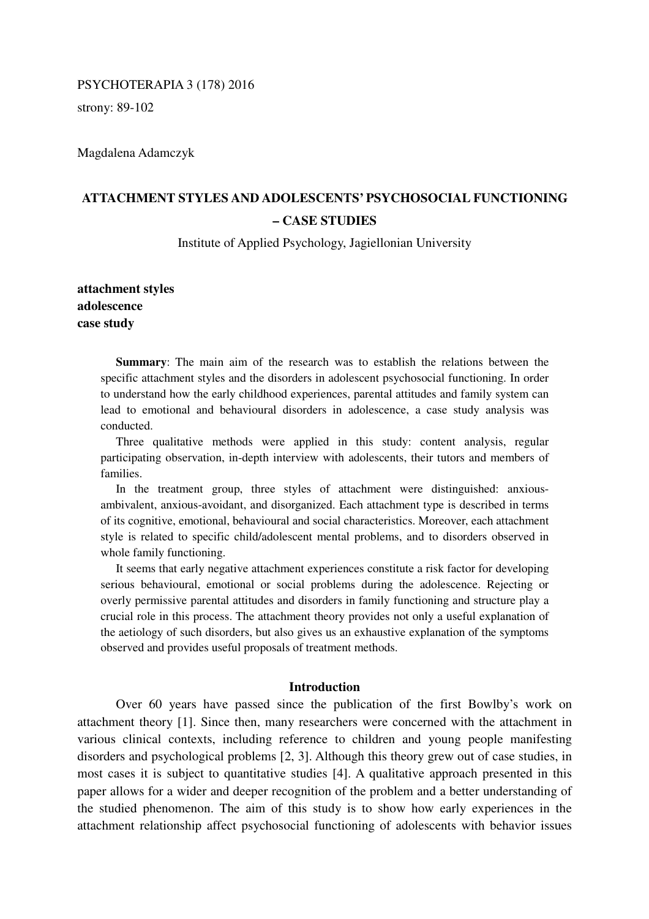# PSYCHOTERAPIA 3 (178) 2016

strony: 89-102

Magdalena Adamczyk

# **ATTACHMENT STYLES AND ADOLESCENTS' PSYCHOSOCIAL FUNCTIONING – CASE STUDIES**

Institute of Applied Psychology, Jagiellonian University

**attachment styles adolescence case study** 

> **Summary**: The main aim of the research was to establish the relations between the specific attachment styles and the disorders in adolescent psychosocial functioning. In order to understand how the early childhood experiences, parental attitudes and family system can lead to emotional and behavioural disorders in adolescence, a case study analysis was conducted.

> Three qualitative methods were applied in this study: content analysis, regular participating observation, in-depth interview with adolescents, their tutors and members of families.

> In the treatment group, three styles of attachment were distinguished: anxiousambivalent, anxious-avoidant, and disorganized. Each attachment type is described in terms of its cognitive, emotional, behavioural and social characteristics. Moreover, each attachment style is related to specific child/adolescent mental problems, and to disorders observed in whole family functioning.

> It seems that early negative attachment experiences constitute a risk factor for developing serious behavioural, emotional or social problems during the adolescence. Rejecting or overly permissive parental attitudes and disorders in family functioning and structure play a crucial role in this process. The attachment theory provides not only a useful explanation of the aetiology of such disorders, but also gives us an exhaustive explanation of the symptoms observed and provides useful proposals of treatment methods.

# **Introduction**

 Over 60 years have passed since the publication of the first Bowlby's work on attachment theory [1]. Since then, many researchers were concerned with the attachment in various clinical contexts, including reference to children and young people manifesting disorders and psychological problems [2, 3]. Although this theory grew out of case studies, in most cases it is subject to quantitative studies [4]. A qualitative approach presented in this paper allows for a wider and deeper recognition of the problem and a better understanding of the studied phenomenon. The aim of this study is to show how early experiences in the attachment relationship affect psychosocial functioning of adolescents with behavior issues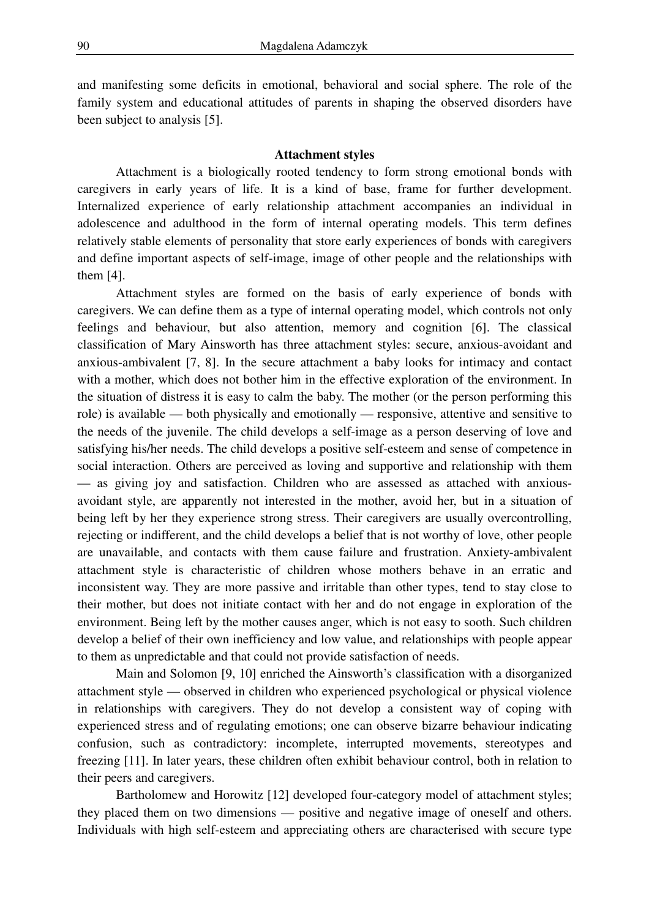and manifesting some deficits in emotional, behavioral and social sphere. The role of the family system and educational attitudes of parents in shaping the observed disorders have been subject to analysis [5].

# **Attachment styles**

 Attachment is a biologically rooted tendency to form strong emotional bonds with caregivers in early years of life. It is a kind of base, frame for further development. Internalized experience of early relationship attachment accompanies an individual in adolescence and adulthood in the form of internal operating models. This term defines relatively stable elements of personality that store early experiences of bonds with caregivers and define important aspects of self-image, image of other people and the relationships with them [4].

 Attachment styles are formed on the basis of early experience of bonds with caregivers. We can define them as a type of internal operating model, which controls not only feelings and behaviour, but also attention, memory and cognition [6]. The classical classification of Mary Ainsworth has three attachment styles: secure, anxious-avoidant and anxious-ambivalent [7, 8]. In the secure attachment a baby looks for intimacy and contact with a mother, which does not bother him in the effective exploration of the environment. In the situation of distress it is easy to calm the baby. The mother (or the person performing this role) is available — both physically and emotionally — responsive, attentive and sensitive to the needs of the juvenile. The child develops a self-image as a person deserving of love and satisfying his/her needs. The child develops a positive self-esteem and sense of competence in social interaction. Others are perceived as loving and supportive and relationship with them — as giving joy and satisfaction. Children who are assessed as attached with anxiousavoidant style, are apparently not interested in the mother, avoid her, but in a situation of being left by her they experience strong stress. Their caregivers are usually overcontrolling, rejecting or indifferent, and the child develops a belief that is not worthy of love, other people are unavailable, and contacts with them cause failure and frustration. Anxiety-ambivalent attachment style is characteristic of children whose mothers behave in an erratic and inconsistent way. They are more passive and irritable than other types, tend to stay close to their mother, but does not initiate contact with her and do not engage in exploration of the environment. Being left by the mother causes anger, which is not easy to sooth. Such children develop a belief of their own inefficiency and low value, and relationships with people appear to them as unpredictable and that could not provide satisfaction of needs.

 Main and Solomon [9, 10] enriched the Ainsworth's classification with a disorganized attachment style — observed in children who experienced psychological or physical violence in relationships with caregivers. They do not develop a consistent way of coping with experienced stress and of regulating emotions; one can observe bizarre behaviour indicating confusion, such as contradictory: incomplete, interrupted movements, stereotypes and freezing [11]. In later years, these children often exhibit behaviour control, both in relation to their peers and caregivers.

Bartholomew and Horowitz [12] developed four-category model of attachment styles; they placed them on two dimensions — positive and negative image of oneself and others. Individuals with high self-esteem and appreciating others are characterised with secure type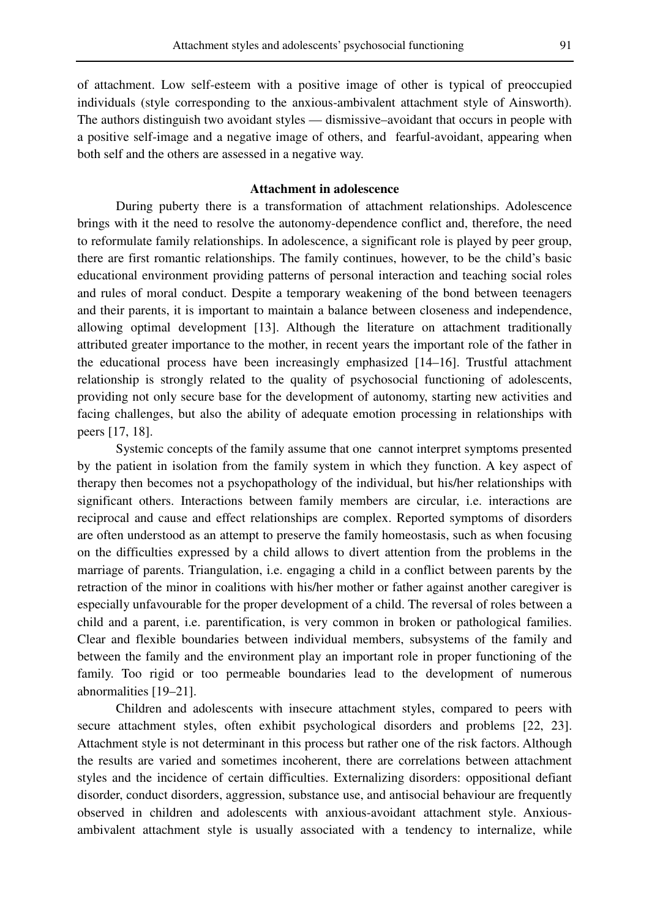of attachment. Low self-esteem with a positive image of other is typical of preoccupied individuals (style corresponding to the anxious-ambivalent attachment style of Ainsworth). The authors distinguish two avoidant styles — dismissive–avoidant that occurs in people with a positive self-image and a negative image of others, and fearful-avoidant, appearing when both self and the others are assessed in a negative way.

# **Attachment in adolescence**

 During puberty there is a transformation of attachment relationships. Adolescence brings with it the need to resolve the autonomy-dependence conflict and, therefore, the need to reformulate family relationships. In adolescence, a significant role is played by peer group, there are first romantic relationships. The family continues, however, to be the child's basic educational environment providing patterns of personal interaction and teaching social roles and rules of moral conduct. Despite a temporary weakening of the bond between teenagers and their parents, it is important to maintain a balance between closeness and independence, allowing optimal development [13]. Although the literature on attachment traditionally attributed greater importance to the mother, in recent years the important role of the father in the educational process have been increasingly emphasized [14–16]. Trustful attachment relationship is strongly related to the quality of psychosocial functioning of adolescents, providing not only secure base for the development of autonomy, starting new activities and facing challenges, but also the ability of adequate emotion processing in relationships with peers [17, 18].

 Systemic concepts of the family assume that one cannot interpret symptoms presented by the patient in isolation from the family system in which they function. A key aspect of therapy then becomes not a psychopathology of the individual, but his/her relationships with significant others. Interactions between family members are circular, i.e. interactions are reciprocal and cause and effect relationships are complex. Reported symptoms of disorders are often understood as an attempt to preserve the family homeostasis, such as when focusing on the difficulties expressed by a child allows to divert attention from the problems in the marriage of parents. Triangulation, i.e. engaging a child in a conflict between parents by the retraction of the minor in coalitions with his/her mother or father against another caregiver is especially unfavourable for the proper development of a child. The reversal of roles between a child and a parent, i.e. parentification, is very common in broken or pathological families. Clear and flexible boundaries between individual members, subsystems of the family and between the family and the environment play an important role in proper functioning of the family. Too rigid or too permeable boundaries lead to the development of numerous abnormalities [19–21].

 Children and adolescents with insecure attachment styles, compared to peers with secure attachment styles, often exhibit psychological disorders and problems [22, 23]. Attachment style is not determinant in this process but rather one of the risk factors. Although the results are varied and sometimes incoherent, there are correlations between attachment styles and the incidence of certain difficulties. Externalizing disorders: oppositional defiant disorder, conduct disorders, aggression, substance use, and antisocial behaviour are frequently observed in children and adolescents with anxious-avoidant attachment style. Anxiousambivalent attachment style is usually associated with a tendency to internalize, while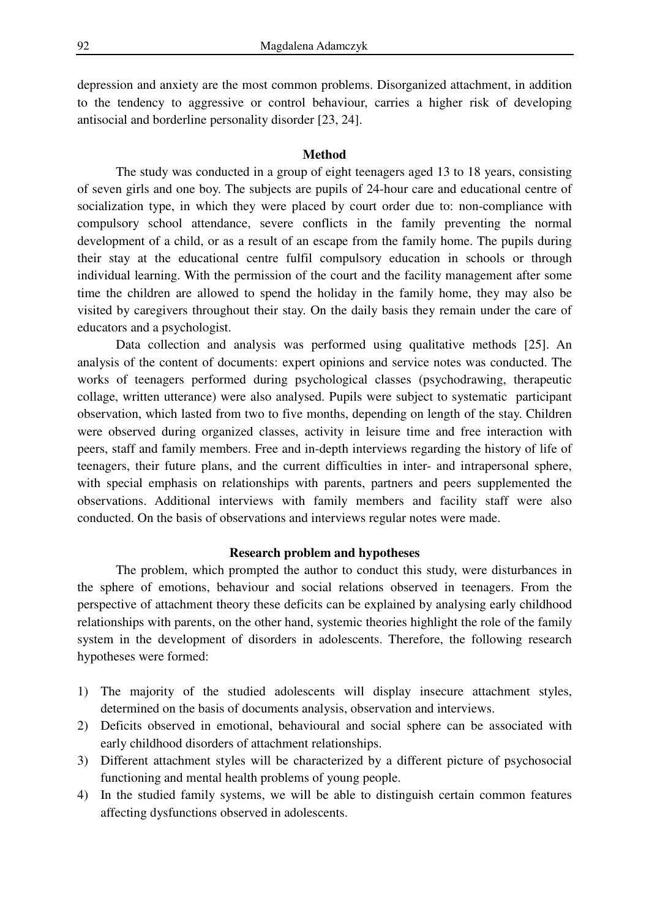depression and anxiety are the most common problems. Disorganized attachment, in addition to the tendency to aggressive or control behaviour, carries a higher risk of developing antisocial and borderline personality disorder [23, 24].

# **Method**

 The study was conducted in a group of eight teenagers aged 13 to 18 years, consisting of seven girls and one boy. The subjects are pupils of 24-hour care and educational centre of socialization type, in which they were placed by court order due to: non-compliance with compulsory school attendance, severe conflicts in the family preventing the normal development of a child, or as a result of an escape from the family home. The pupils during their stay at the educational centre fulfil compulsory education in schools or through individual learning. With the permission of the court and the facility management after some time the children are allowed to spend the holiday in the family home, they may also be visited by caregivers throughout their stay. On the daily basis they remain under the care of educators and a psychologist.

 Data collection and analysis was performed using qualitative methods [25]. An analysis of the content of documents: expert opinions and service notes was conducted. The works of teenagers performed during psychological classes (psychodrawing, therapeutic collage, written utterance) were also analysed. Pupils were subject to systematic participant observation, which lasted from two to five months, depending on length of the stay. Children were observed during organized classes, activity in leisure time and free interaction with peers, staff and family members. Free and in-depth interviews regarding the history of life of teenagers, their future plans, and the current difficulties in inter- and intrapersonal sphere, with special emphasis on relationships with parents, partners and peers supplemented the observations. Additional interviews with family members and facility staff were also conducted. On the basis of observations and interviews regular notes were made.

### **Research problem and hypotheses**

 The problem, which prompted the author to conduct this study, were disturbances in the sphere of emotions, behaviour and social relations observed in teenagers. From the perspective of attachment theory these deficits can be explained by analysing early childhood relationships with parents, on the other hand, systemic theories highlight the role of the family system in the development of disorders in adolescents. Therefore, the following research hypotheses were formed:

- 1) The majority of the studied adolescents will display insecure attachment styles, determined on the basis of documents analysis, observation and interviews.
- 2) Deficits observed in emotional, behavioural and social sphere can be associated with early childhood disorders of attachment relationships.
- 3) Different attachment styles will be characterized by a different picture of psychosocial functioning and mental health problems of young people.
- 4) In the studied family systems, we will be able to distinguish certain common features affecting dysfunctions observed in adolescents.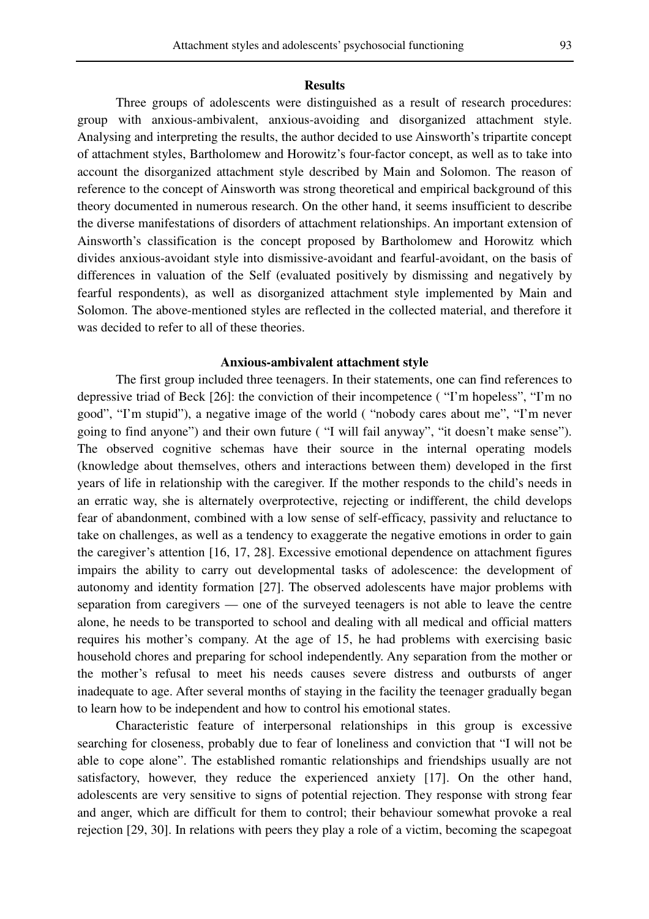#### **Results**

 Three groups of adolescents were distinguished as a result of research procedures: group with anxious-ambivalent, anxious-avoiding and disorganized attachment style. Analysing and interpreting the results, the author decided to use Ainsworth's tripartite concept of attachment styles, Bartholomew and Horowitz's four-factor concept, as well as to take into account the disorganized attachment style described by Main and Solomon. The reason of reference to the concept of Ainsworth was strong theoretical and empirical background of this theory documented in numerous research. On the other hand, it seems insufficient to describe the diverse manifestations of disorders of attachment relationships. An important extension of Ainsworth's classification is the concept proposed by Bartholomew and Horowitz which divides anxious-avoidant style into dismissive-avoidant and fearful-avoidant, on the basis of differences in valuation of the Self (evaluated positively by dismissing and negatively by fearful respondents), as well as disorganized attachment style implemented by Main and Solomon. The above-mentioned styles are reflected in the collected material, and therefore it was decided to refer to all of these theories.

# **Anxious-ambivalent attachment style**

 The first group included three teenagers. In their statements, one can find references to depressive triad of Beck [26]: the conviction of their incompetence ( "I'm hopeless", "I'm no good", "I'm stupid"), a negative image of the world ( "nobody cares about me", "I'm never going to find anyone") and their own future ( "I will fail anyway", "it doesn't make sense"). The observed cognitive schemas have their source in the internal operating models (knowledge about themselves, others and interactions between them) developed in the first years of life in relationship with the caregiver. If the mother responds to the child's needs in an erratic way, she is alternately overprotective, rejecting or indifferent, the child develops fear of abandonment, combined with a low sense of self-efficacy, passivity and reluctance to take on challenges, as well as a tendency to exaggerate the negative emotions in order to gain the caregiver's attention [16, 17, 28]. Excessive emotional dependence on attachment figures impairs the ability to carry out developmental tasks of adolescence: the development of autonomy and identity formation [27]. The observed adolescents have major problems with separation from caregivers — one of the surveyed teenagers is not able to leave the centre alone, he needs to be transported to school and dealing with all medical and official matters requires his mother's company. At the age of 15, he had problems with exercising basic household chores and preparing for school independently. Any separation from the mother or the mother's refusal to meet his needs causes severe distress and outbursts of anger inadequate to age. After several months of staying in the facility the teenager gradually began to learn how to be independent and how to control his emotional states.

 Characteristic feature of interpersonal relationships in this group is excessive searching for closeness, probably due to fear of loneliness and conviction that "I will not be able to cope alone". The established romantic relationships and friendships usually are not satisfactory, however, they reduce the experienced anxiety [17]. On the other hand, adolescents are very sensitive to signs of potential rejection. They response with strong fear and anger, which are difficult for them to control; their behaviour somewhat provoke a real rejection [29, 30]. In relations with peers they play a role of a victim, becoming the scapegoat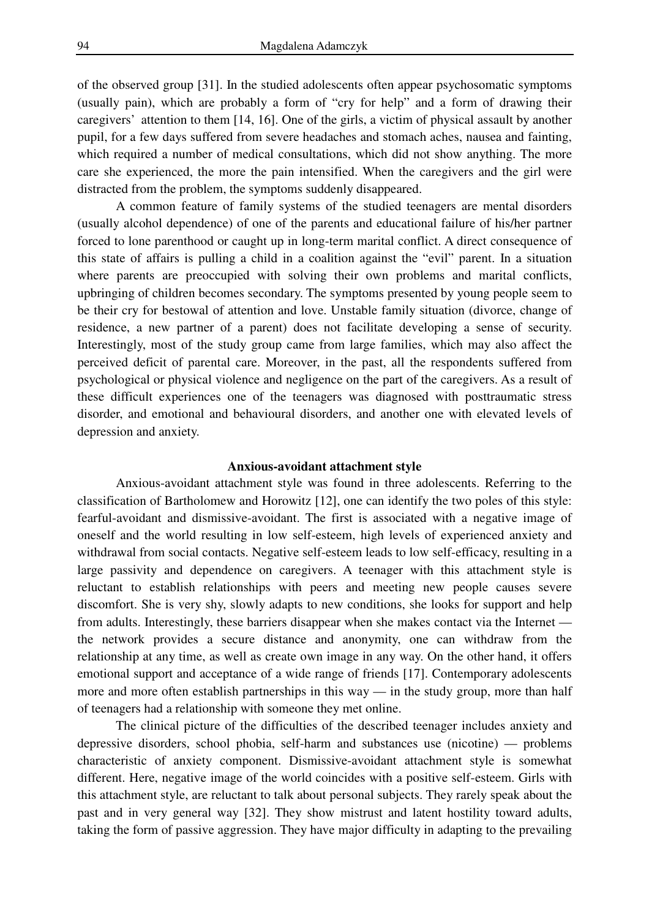of the observed group [31]. In the studied adolescents often appear psychosomatic symptoms (usually pain), which are probably a form of "cry for help" and a form of drawing their caregivers' attention to them [14, 16]. One of the girls, a victim of physical assault by another pupil, for a few days suffered from severe headaches and stomach aches, nausea and fainting, which required a number of medical consultations, which did not show anything. The more care she experienced, the more the pain intensified. When the caregivers and the girl were distracted from the problem, the symptoms suddenly disappeared.

 A common feature of family systems of the studied teenagers are mental disorders (usually alcohol dependence) of one of the parents and educational failure of his/her partner forced to lone parenthood or caught up in long-term marital conflict. A direct consequence of this state of affairs is pulling a child in a coalition against the "evil" parent. In a situation where parents are preoccupied with solving their own problems and marital conflicts, upbringing of children becomes secondary. The symptoms presented by young people seem to be their cry for bestowal of attention and love. Unstable family situation (divorce, change of residence, a new partner of a parent) does not facilitate developing a sense of security. Interestingly, most of the study group came from large families, which may also affect the perceived deficit of parental care. Moreover, in the past, all the respondents suffered from psychological or physical violence and negligence on the part of the caregivers. As a result of these difficult experiences one of the teenagers was diagnosed with posttraumatic stress disorder, and emotional and behavioural disorders, and another one with elevated levels of depression and anxiety.

#### **Anxious-avoidant attachment style**

 Anxious-avoidant attachment style was found in three adolescents. Referring to the classification of Bartholomew and Horowitz [12], one can identify the two poles of this style: fearful-avoidant and dismissive-avoidant. The first is associated with a negative image of oneself and the world resulting in low self-esteem, high levels of experienced anxiety and withdrawal from social contacts. Negative self-esteem leads to low self-efficacy, resulting in a large passivity and dependence on caregivers. A teenager with this attachment style is reluctant to establish relationships with peers and meeting new people causes severe discomfort. She is very shy, slowly adapts to new conditions, she looks for support and help from adults. Interestingly, these barriers disappear when she makes contact via the Internet the network provides a secure distance and anonymity, one can withdraw from the relationship at any time, as well as create own image in any way. On the other hand, it offers emotional support and acceptance of a wide range of friends [17]. Contemporary adolescents more and more often establish partnerships in this way — in the study group, more than half of teenagers had a relationship with someone they met online.

 The clinical picture of the difficulties of the described teenager includes anxiety and depressive disorders, school phobia, self-harm and substances use (nicotine) — problems characteristic of anxiety component. Dismissive-avoidant attachment style is somewhat different. Here, negative image of the world coincides with a positive self-esteem. Girls with this attachment style, are reluctant to talk about personal subjects. They rarely speak about the past and in very general way [32]. They show mistrust and latent hostility toward adults, taking the form of passive aggression. They have major difficulty in adapting to the prevailing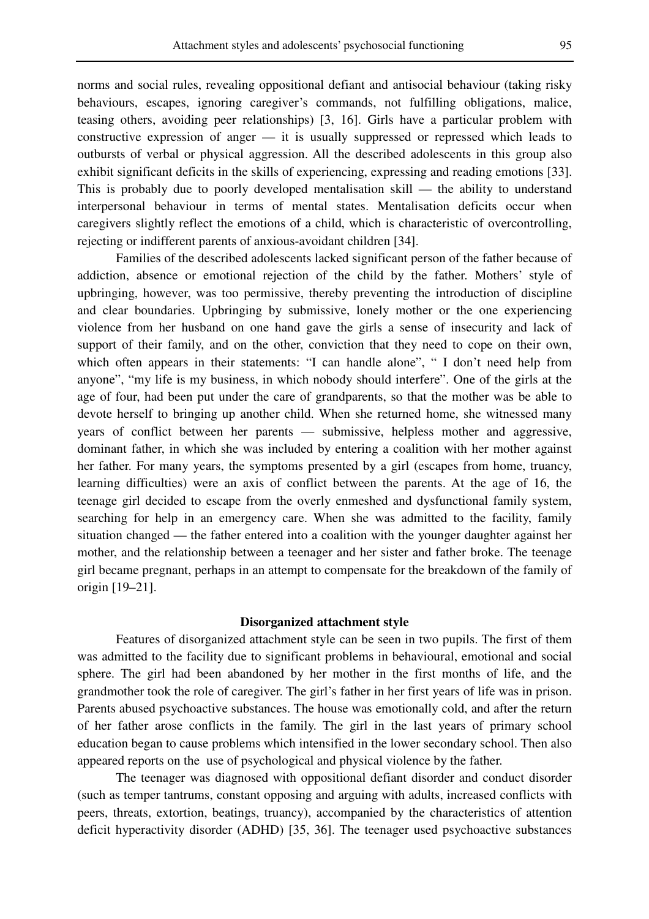norms and social rules, revealing oppositional defiant and antisocial behaviour (taking risky behaviours, escapes, ignoring caregiver's commands, not fulfilling obligations, malice, teasing others, avoiding peer relationships) [3, 16]. Girls have a particular problem with constructive expression of anger — it is usually suppressed or repressed which leads to outbursts of verbal or physical aggression. All the described adolescents in this group also exhibit significant deficits in the skills of experiencing, expressing and reading emotions [33]. This is probably due to poorly developed mentalisation skill — the ability to understand interpersonal behaviour in terms of mental states. Mentalisation deficits occur when caregivers slightly reflect the emotions of a child, which is characteristic of overcontrolling, rejecting or indifferent parents of anxious-avoidant children [34].

 Families of the described adolescents lacked significant person of the father because of addiction, absence or emotional rejection of the child by the father. Mothers' style of upbringing, however, was too permissive, thereby preventing the introduction of discipline and clear boundaries. Upbringing by submissive, lonely mother or the one experiencing violence from her husband on one hand gave the girls a sense of insecurity and lack of support of their family, and on the other, conviction that they need to cope on their own, which often appears in their statements: "I can handle alone", " I don't need help from anyone", "my life is my business, in which nobody should interfere". One of the girls at the age of four, had been put under the care of grandparents, so that the mother was be able to devote herself to bringing up another child. When she returned home, she witnessed many years of conflict between her parents — submissive, helpless mother and aggressive, dominant father, in which she was included by entering a coalition with her mother against her father. For many years, the symptoms presented by a girl (escapes from home, truancy, learning difficulties) were an axis of conflict between the parents. At the age of 16, the teenage girl decided to escape from the overly enmeshed and dysfunctional family system, searching for help in an emergency care. When she was admitted to the facility, family situation changed — the father entered into a coalition with the younger daughter against her mother, and the relationship between a teenager and her sister and father broke. The teenage girl became pregnant, perhaps in an attempt to compensate for the breakdown of the family of origin [19–21].

#### **Disorganized attachment style**

 Features of disorganized attachment style can be seen in two pupils. The first of them was admitted to the facility due to significant problems in behavioural, emotional and social sphere. The girl had been abandoned by her mother in the first months of life, and the grandmother took the role of caregiver. The girl's father in her first years of life was in prison. Parents abused psychoactive substances. The house was emotionally cold, and after the return of her father arose conflicts in the family. The girl in the last years of primary school education began to cause problems which intensified in the lower secondary school. Then also appeared reports on the use of psychological and physical violence by the father.

 The teenager was diagnosed with oppositional defiant disorder and conduct disorder (such as temper tantrums, constant opposing and arguing with adults, increased conflicts with peers, threats, extortion, beatings, truancy), accompanied by the characteristics of attention deficit hyperactivity disorder (ADHD) [35, 36]. The teenager used psychoactive substances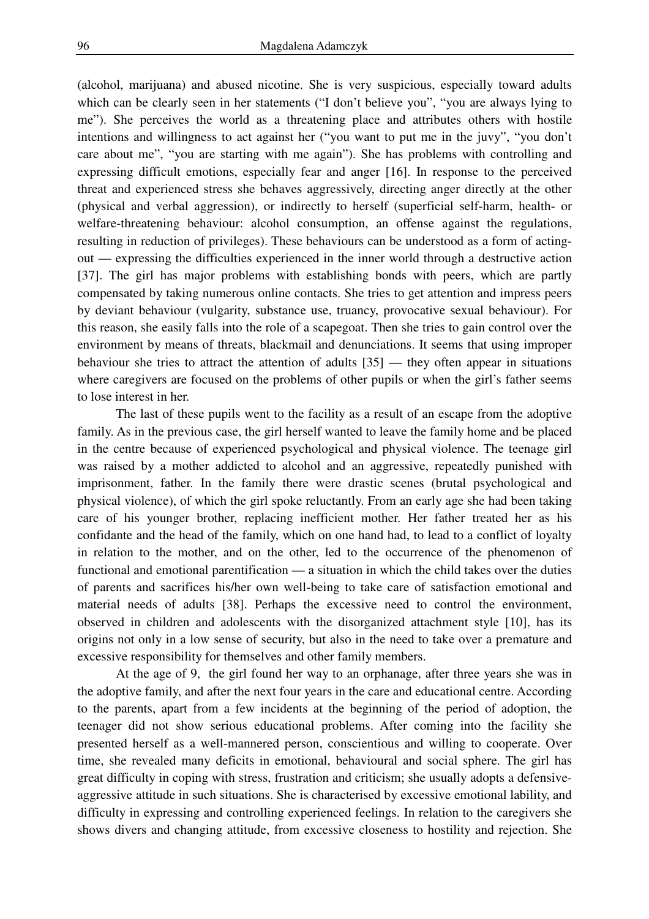(alcohol, marijuana) and abused nicotine. She is very suspicious, especially toward adults which can be clearly seen in her statements ("I don't believe you", "you are always lying to me"). She perceives the world as a threatening place and attributes others with hostile intentions and willingness to act against her ("you want to put me in the juvy", "you don't care about me", "you are starting with me again"). She has problems with controlling and expressing difficult emotions, especially fear and anger [16]. In response to the perceived threat and experienced stress she behaves aggressively, directing anger directly at the other (physical and verbal aggression), or indirectly to herself (superficial self-harm, health- or welfare-threatening behaviour: alcohol consumption, an offense against the regulations, resulting in reduction of privileges). These behaviours can be understood as a form of actingout — expressing the difficulties experienced in the inner world through a destructive action [37]. The girl has major problems with establishing bonds with peers, which are partly compensated by taking numerous online contacts. She tries to get attention and impress peers by deviant behaviour (vulgarity, substance use, truancy, provocative sexual behaviour). For this reason, she easily falls into the role of a scapegoat. Then she tries to gain control over the environment by means of threats, blackmail and denunciations. It seems that using improper behaviour she tries to attract the attention of adults [35] — they often appear in situations where caregivers are focused on the problems of other pupils or when the girl's father seems to lose interest in her.

 The last of these pupils went to the facility as a result of an escape from the adoptive family. As in the previous case, the girl herself wanted to leave the family home and be placed in the centre because of experienced psychological and physical violence. The teenage girl was raised by a mother addicted to alcohol and an aggressive, repeatedly punished with imprisonment, father. In the family there were drastic scenes (brutal psychological and physical violence), of which the girl spoke reluctantly. From an early age she had been taking care of his younger brother, replacing inefficient mother. Her father treated her as his confidante and the head of the family, which on one hand had, to lead to a conflict of loyalty in relation to the mother, and on the other, led to the occurrence of the phenomenon of functional and emotional parentification — a situation in which the child takes over the duties of parents and sacrifices his/her own well-being to take care of satisfaction emotional and material needs of adults [38]. Perhaps the excessive need to control the environment, observed in children and adolescents with the disorganized attachment style [10], has its origins not only in a low sense of security, but also in the need to take over a premature and excessive responsibility for themselves and other family members.

 At the age of 9, the girl found her way to an orphanage, after three years she was in the adoptive family, and after the next four years in the care and educational centre. According to the parents, apart from a few incidents at the beginning of the period of adoption, the teenager did not show serious educational problems. After coming into the facility she presented herself as a well-mannered person, conscientious and willing to cooperate. Over time, she revealed many deficits in emotional, behavioural and social sphere. The girl has great difficulty in coping with stress, frustration and criticism; she usually adopts a defensiveaggressive attitude in such situations. She is characterised by excessive emotional lability, and difficulty in expressing and controlling experienced feelings. In relation to the caregivers she shows divers and changing attitude, from excessive closeness to hostility and rejection. She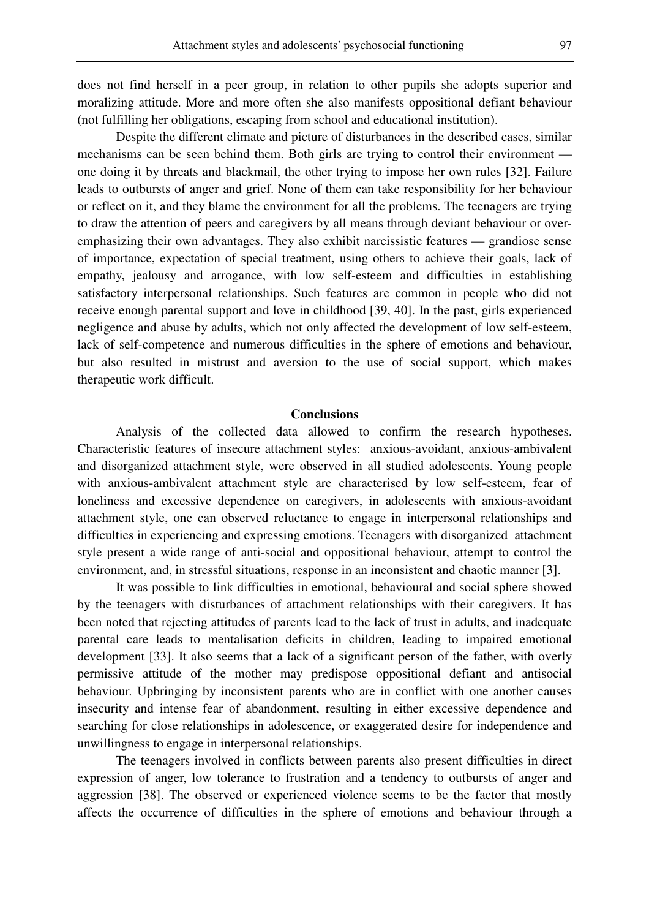does not find herself in a peer group, in relation to other pupils she adopts superior and moralizing attitude. More and more often she also manifests oppositional defiant behaviour (not fulfilling her obligations, escaping from school and educational institution).

 Despite the different climate and picture of disturbances in the described cases, similar mechanisms can be seen behind them. Both girls are trying to control their environment one doing it by threats and blackmail, the other trying to impose her own rules [32]. Failure leads to outbursts of anger and grief. None of them can take responsibility for her behaviour or reflect on it, and they blame the environment for all the problems. The teenagers are trying to draw the attention of peers and caregivers by all means through deviant behaviour or overemphasizing their own advantages. They also exhibit narcissistic features — grandiose sense of importance, expectation of special treatment, using others to achieve their goals, lack of empathy, jealousy and arrogance, with low self-esteem and difficulties in establishing satisfactory interpersonal relationships. Such features are common in people who did not receive enough parental support and love in childhood [39, 40]. In the past, girls experienced negligence and abuse by adults, which not only affected the development of low self-esteem, lack of self-competence and numerous difficulties in the sphere of emotions and behaviour, but also resulted in mistrust and aversion to the use of social support, which makes therapeutic work difficult.

#### **Conclusions**

 Analysis of the collected data allowed to confirm the research hypotheses. Characteristic features of insecure attachment styles: anxious-avoidant, anxious-ambivalent and disorganized attachment style, were observed in all studied adolescents. Young people with anxious-ambivalent attachment style are characterised by low self-esteem, fear of loneliness and excessive dependence on caregivers, in adolescents with anxious-avoidant attachment style, one can observed reluctance to engage in interpersonal relationships and difficulties in experiencing and expressing emotions. Teenagers with disorganized attachment style present a wide range of anti-social and oppositional behaviour, attempt to control the environment, and, in stressful situations, response in an inconsistent and chaotic manner [3].

 It was possible to link difficulties in emotional, behavioural and social sphere showed by the teenagers with disturbances of attachment relationships with their caregivers. It has been noted that rejecting attitudes of parents lead to the lack of trust in adults, and inadequate parental care leads to mentalisation deficits in children, leading to impaired emotional development [33]. It also seems that a lack of a significant person of the father, with overly permissive attitude of the mother may predispose oppositional defiant and antisocial behaviour. Upbringing by inconsistent parents who are in conflict with one another causes insecurity and intense fear of abandonment, resulting in either excessive dependence and searching for close relationships in adolescence, or exaggerated desire for independence and unwillingness to engage in interpersonal relationships.

 The teenagers involved in conflicts between parents also present difficulties in direct expression of anger, low tolerance to frustration and a tendency to outbursts of anger and aggression [38]. The observed or experienced violence seems to be the factor that mostly affects the occurrence of difficulties in the sphere of emotions and behaviour through a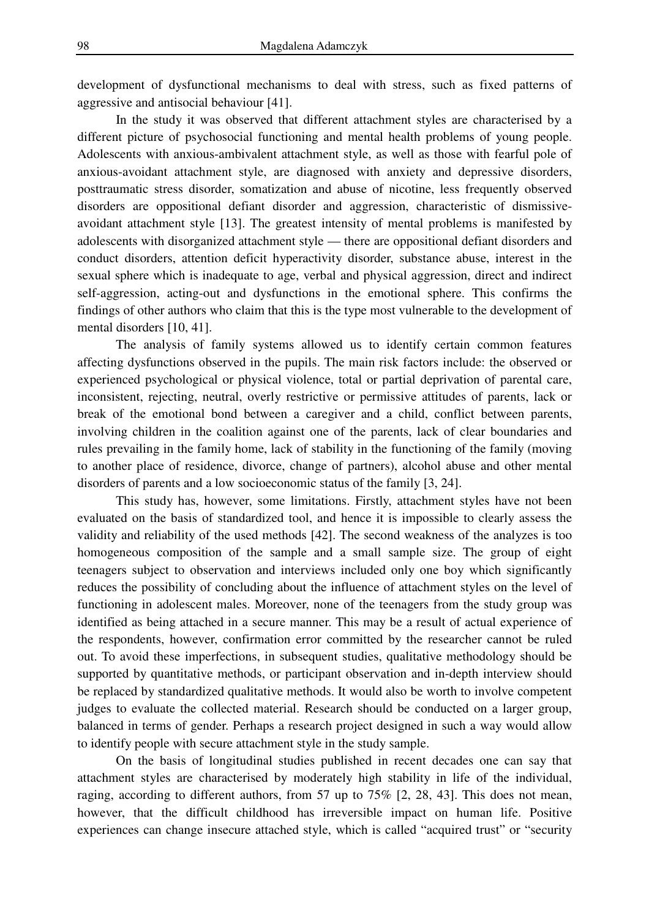development of dysfunctional mechanisms to deal with stress, such as fixed patterns of aggressive and antisocial behaviour [41].

 In the study it was observed that different attachment styles are characterised by a different picture of psychosocial functioning and mental health problems of young people. Adolescents with anxious-ambivalent attachment style, as well as those with fearful pole of anxious-avoidant attachment style, are diagnosed with anxiety and depressive disorders, posttraumatic stress disorder, somatization and abuse of nicotine, less frequently observed disorders are oppositional defiant disorder and aggression, characteristic of dismissiveavoidant attachment style [13]. The greatest intensity of mental problems is manifested by adolescents with disorganized attachment style — there are oppositional defiant disorders and conduct disorders, attention deficit hyperactivity disorder, substance abuse, interest in the sexual sphere which is inadequate to age, verbal and physical aggression, direct and indirect self-aggression, acting-out and dysfunctions in the emotional sphere. This confirms the findings of other authors who claim that this is the type most vulnerable to the development of mental disorders [10, 41].

 The analysis of family systems allowed us to identify certain common features affecting dysfunctions observed in the pupils. The main risk factors include: the observed or experienced psychological or physical violence, total or partial deprivation of parental care, inconsistent, rejecting, neutral, overly restrictive or permissive attitudes of parents, lack or break of the emotional bond between a caregiver and a child, conflict between parents, involving children in the coalition against one of the parents, lack of clear boundaries and rules prevailing in the family home, lack of stability in the functioning of the family (moving to another place of residence, divorce, change of partners), alcohol abuse and other mental disorders of parents and a low socioeconomic status of the family [3, 24].

 This study has, however, some limitations. Firstly, attachment styles have not been evaluated on the basis of standardized tool, and hence it is impossible to clearly assess the validity and reliability of the used methods [42]. The second weakness of the analyzes is too homogeneous composition of the sample and a small sample size. The group of eight teenagers subject to observation and interviews included only one boy which significantly reduces the possibility of concluding about the influence of attachment styles on the level of functioning in adolescent males. Moreover, none of the teenagers from the study group was identified as being attached in a secure manner. This may be a result of actual experience of the respondents, however, confirmation error committed by the researcher cannot be ruled out. To avoid these imperfections, in subsequent studies, qualitative methodology should be supported by quantitative methods, or participant observation and in-depth interview should be replaced by standardized qualitative methods. It would also be worth to involve competent judges to evaluate the collected material. Research should be conducted on a larger group, balanced in terms of gender. Perhaps a research project designed in such a way would allow to identify people with secure attachment style in the study sample.

 On the basis of longitudinal studies published in recent decades one can say that attachment styles are characterised by moderately high stability in life of the individual, raging, according to different authors, from 57 up to 75% [2, 28, 43]. This does not mean, however, that the difficult childhood has irreversible impact on human life. Positive experiences can change insecure attached style, which is called "acquired trust" or "security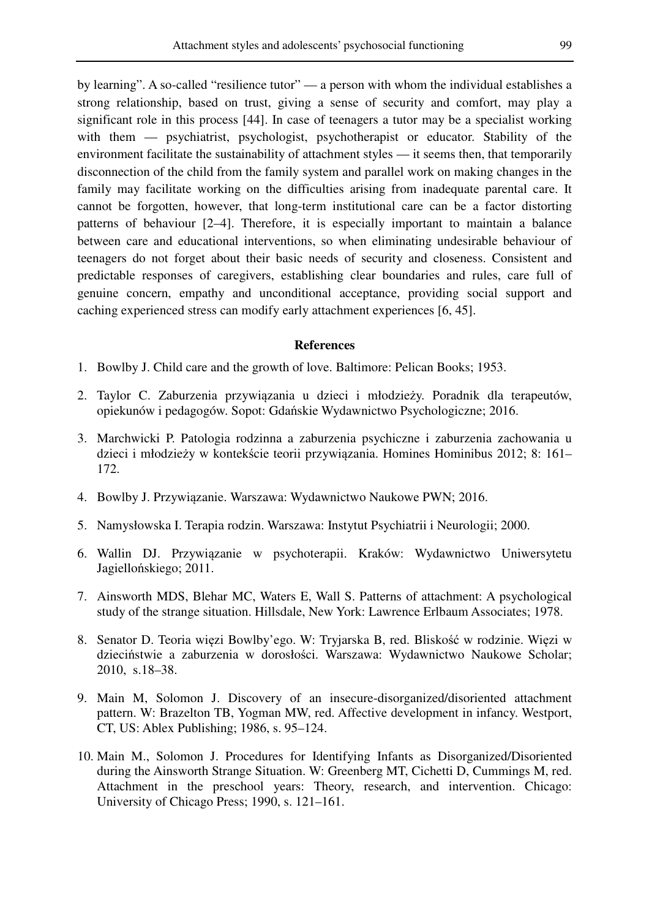by learning". A so-called "resilience tutor" — a person with whom the individual establishes a strong relationship, based on trust, giving a sense of security and comfort, may play a significant role in this process [44]. In case of teenagers a tutor may be a specialist working with them — psychiatrist, psychologist, psychotherapist or educator. Stability of the environment facilitate the sustainability of attachment styles — it seems then, that temporarily disconnection of the child from the family system and parallel work on making changes in the family may facilitate working on the difficulties arising from inadequate parental care. It cannot be forgotten, however, that long-term institutional care can be a factor distorting patterns of behaviour [2–4]. Therefore, it is especially important to maintain a balance between care and educational interventions, so when eliminating undesirable behaviour of teenagers do not forget about their basic needs of security and closeness. Consistent and predictable responses of caregivers, establishing clear boundaries and rules, care full of genuine concern, empathy and unconditional acceptance, providing social support and caching experienced stress can modify early attachment experiences [6, 45].

#### **References**

- 1. Bowlby J. Child care and the growth of love. Baltimore: Pelican Books; 1953.
- 2. Taylor C. Zaburzenia przywiązania u dzieci i młodzieży. Poradnik dla terapeutów, opiekunów i pedagogów. Sopot: Gdańskie Wydawnictwo Psychologiczne; 2016.
- 3. Marchwicki P. Patologia rodzinna a zaburzenia psychiczne i zaburzenia zachowania u dzieci i młodzieży w kontekście teorii przywiązania. Homines Hominibus 2012; 8: 161– 172.
- 4. Bowlby J. Przywiązanie. Warszawa: Wydawnictwo Naukowe PWN; 2016.
- 5. Namysłowska I. Terapia rodzin. Warszawa: Instytut Psychiatrii i Neurologii; 2000.
- 6. Wallin DJ. Przywiązanie w psychoterapii. Kraków: Wydawnictwo Uniwersytetu Jagiellońskiego; 2011.
- 7. Ainsworth MDS, Blehar MC, Waters E, Wall S. Patterns of attachment: A psychological study of the strange situation. Hillsdale, New York: Lawrence Erlbaum Associates; 1978.
- 8. Senator D. Teoria więzi Bowlby'ego. W: Tryjarska B, red. Bliskość w rodzinie. Więzi w dzieciństwie a zaburzenia w dorosłości. Warszawa: Wydawnictwo Naukowe Scholar; 2010, s.18–38.
- 9. Main M, Solomon J. Discovery of an insecure-disorganized/disoriented attachment pattern. W: Brazelton TB, Yogman MW, red. Affective development in infancy. Westport, CT, US: Ablex Publishing; 1986, s. 95–124.
- 10. Main M., Solomon J. Procedures for Identifying Infants as Disorganized/Disoriented during the Ainsworth Strange Situation. W: Greenberg MT, Cichetti D, Cummings M, red. Attachment in the preschool years: Theory, research, and intervention. Chicago: University of Chicago Press; 1990, s. 121–161.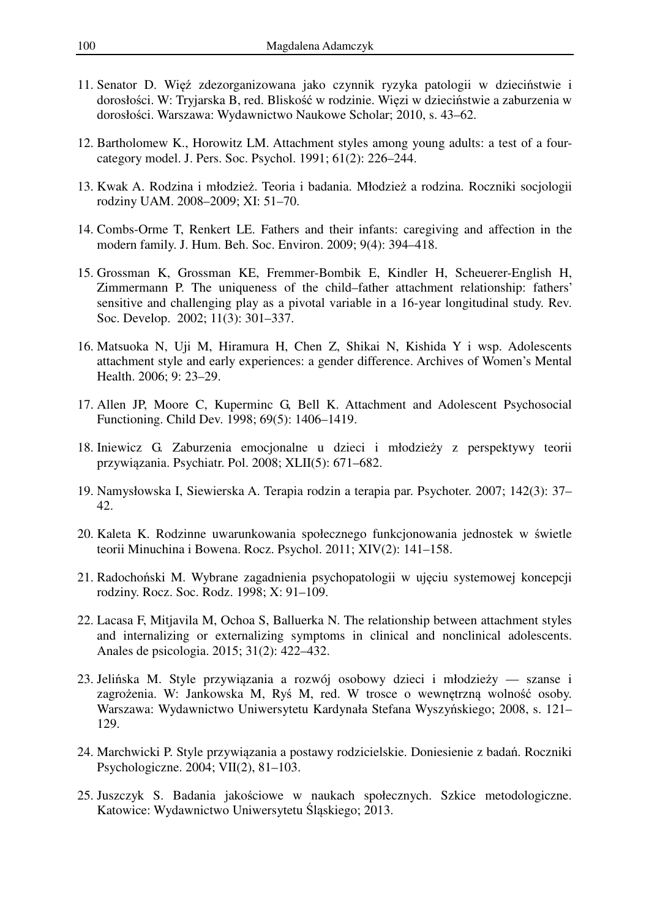- 11. Senator D. Więź zdezorganizowana jako czynnik ryzyka patologii w dzieciństwie i dorosłości. W: Tryjarska B, red. Bliskość w rodzinie. Więzi w dzieciństwie a zaburzenia w dorosłości. Warszawa: Wydawnictwo Naukowe Scholar; 2010, s. 43–62.
- 12. Bartholomew K., Horowitz LM. Attachment styles among young adults: a test of a fourcategory model. J. Pers. Soc. Psychol. 1991; 61(2): 226–244.
- 13. Kwak A. Rodzina i młodzież. Teoria i badania. Młodzież a rodzina. Roczniki socjologii rodziny UAM. 2008–2009; XI: 51–70.
- 14. Combs-Orme T, Renkert LE. Fathers and their infants: caregiving and affection in the modern family. J. Hum. Beh. Soc. Environ. 2009; 9(4): 394–418.
- 15. Grossman K, Grossman KE, Fremmer-Bombik E, Kindler H, Scheuerer-English H, Zimmermann P. The uniqueness of the child–father attachment relationship: fathers' sensitive and challenging play as a pivotal variable in a 16-year longitudinal study. Rev. Soc. Develop. 2002; 11(3): 301–337.
- 16. Matsuoka N, Uji M, Hiramura H, Chen Z, Shikai N, Kishida Y i wsp. Adolescents attachment style and early experiences: a gender difference. Archives of Women's Mental Health. 2006; 9: 23–29.
- 17. Allen JP, Moore C, Kuperminc G, Bell K. Attachment and Adolescent Psychosocial Functioning. Child Dev. 1998; 69(5): 1406–1419.
- 18. Iniewicz G. Zaburzenia emocjonalne u dzieci i młodzieży z perspektywy teorii przywiązania. Psychiatr. Pol. 2008; XLII(5): 671–682.
- 19. Namysłowska I, Siewierska A. Terapia rodzin a terapia par. Psychoter. 2007; 142(3): 37– 42.
- 20. Kaleta K. Rodzinne uwarunkowania społecznego funkcjonowania jednostek w świetle teorii Minuchina i Bowena. Rocz. Psychol. 2011; XIV(2): 141–158.
- 21. Radochoński M. Wybrane zagadnienia psychopatologii w ujęciu systemowej koncepcji rodziny. Rocz. Soc. Rodz. 1998; X: 91–109.
- 22. Lacasa F, Mitjavila M, Ochoa S, Balluerka N. The relationship between attachment styles and internalizing or externalizing symptoms in clinical and nonclinical adolescents. Anales de psicologia. 2015; 31(2): 422–432.
- 23. Jelińska M. Style przywiązania a rozwój osobowy dzieci i młodzieży szanse i zagrożenia. W: Jankowska M, Ryś M, red. W trosce o wewnętrzną wolność osoby. Warszawa: Wydawnictwo Uniwersytetu Kardynała Stefana Wyszyńskiego; 2008, s. 121– 129.
- 24. Marchwicki P. Style przywiązania a postawy rodzicielskie. Doniesienie z badań. Roczniki Psychologiczne. 2004; VII(2), 81–103.
- 25. Juszczyk S. Badania jakościowe w naukach społecznych. Szkice metodologiczne. Katowice: Wydawnictwo Uniwersytetu Śląskiego; 2013.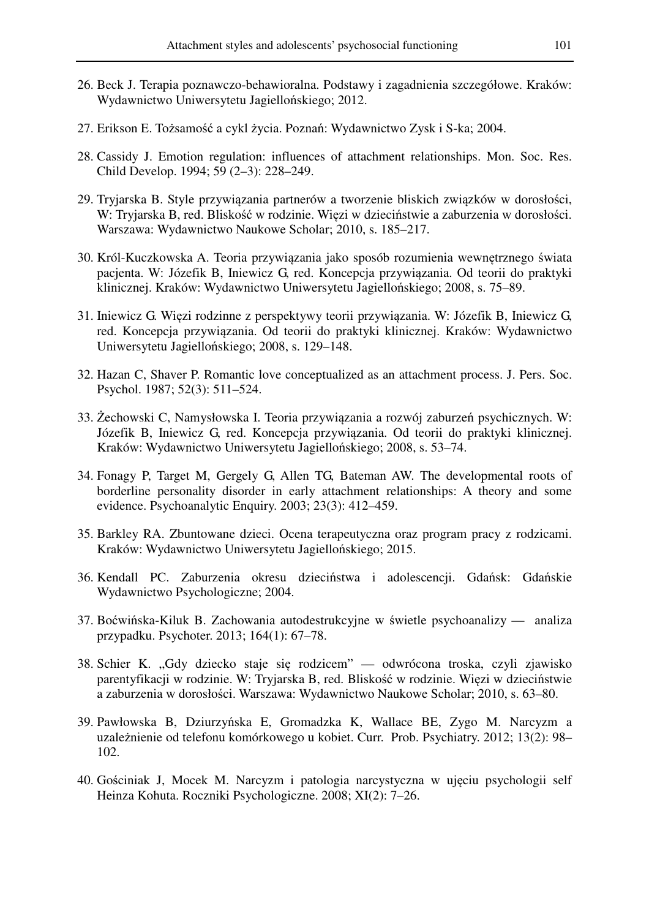- 26. Beck J. Terapia poznawczo-behawioralna. Podstawy i zagadnienia szczegółowe. Kraków: Wydawnictwo Uniwersytetu Jagiellońskiego; 2012.
- 27. Erikson E. Tożsamość a cykl życia. Poznań: Wydawnictwo Zysk i S-ka; 2004.
- 28. Cassidy J. Emotion regulation: influences of attachment relationships. Mon. Soc. Res. Child Develop. 1994; 59 (2–3): 228–249.
- 29. Tryjarska B. Style przywiązania partnerów a tworzenie bliskich związków w dorosłości, W: Tryjarska B, red. Bliskość w rodzinie. Więzi w dzieciństwie a zaburzenia w dorosłości. Warszawa: Wydawnictwo Naukowe Scholar; 2010, s. 185–217.
- 30. Król-Kuczkowska A. Teoria przywiązania jako sposób rozumienia wewnętrznego świata pacjenta. W: Józefik B, Iniewicz G, red. Koncepcja przywiązania. Od teorii do praktyki klinicznej. Kraków: Wydawnictwo Uniwersytetu Jagiellońskiego; 2008, s. 75–89.
- 31. Iniewicz G. Więzi rodzinne z perspektywy teorii przywiązania. W: Józefik B, Iniewicz G, red. Koncepcja przywiązania. Od teorii do praktyki klinicznej. Kraków: Wydawnictwo Uniwersytetu Jagiellońskiego; 2008, s. 129–148.
- 32. Hazan C, Shaver P. Romantic love conceptualized as an attachment process. J. Pers. Soc. Psychol. 1987; 52(3): 511–524.
- 33. Żechowski C, Namysłowska I. Teoria przywiązania a rozwój zaburzeń psychicznych. W: Józefik B, Iniewicz G, red. Koncepcja przywiązania. Od teorii do praktyki klinicznej. Kraków: Wydawnictwo Uniwersytetu Jagiellońskiego; 2008, s. 53–74.
- 34. Fonagy P, Target M, Gergely G, Allen TG, Bateman AW. The developmental roots of borderline personality disorder in early attachment relationships: A theory and some evidence. Psychoanalytic Enquiry. 2003; 23(3): 412–459.
- 35. Barkley RA. Zbuntowane dzieci. Ocena terapeutyczna oraz program pracy z rodzicami. Kraków: Wydawnictwo Uniwersytetu Jagiellońskiego; 2015.
- 36. Kendall PC. Zaburzenia okresu dzieciństwa i adolescencji. Gdańsk: Gdańskie Wydawnictwo Psychologiczne; 2004.
- 37. Boćwińska-Kiluk B. Zachowania autodestrukcyjne w świetle psychoanalizy analiza przypadku. Psychoter. 2013; 164(1): 67–78.
- 38. Schier K. "Gdy dziecko staje się rodzicem" odwrócona troska, czyli zjawisko parentyfikacji w rodzinie. W: Tryjarska B, red. Bliskość w rodzinie. Więzi w dzieciństwie a zaburzenia w dorosłości. Warszawa: Wydawnictwo Naukowe Scholar; 2010, s. 63–80.
- 39. Pawłowska B, Dziurzyńska E, Gromadzka K, Wallace BE, Zygo M. Narcyzm a uzależnienie od telefonu komórkowego u kobiet. Curr. Prob. Psychiatry. 2012; 13(2): 98– 102.
- 40. Gościniak J, Mocek M. Narcyzm i patologia narcystyczna w ujęciu psychologii self Heinza Kohuta. Roczniki Psychologiczne. 2008; XI(2): 7–26.